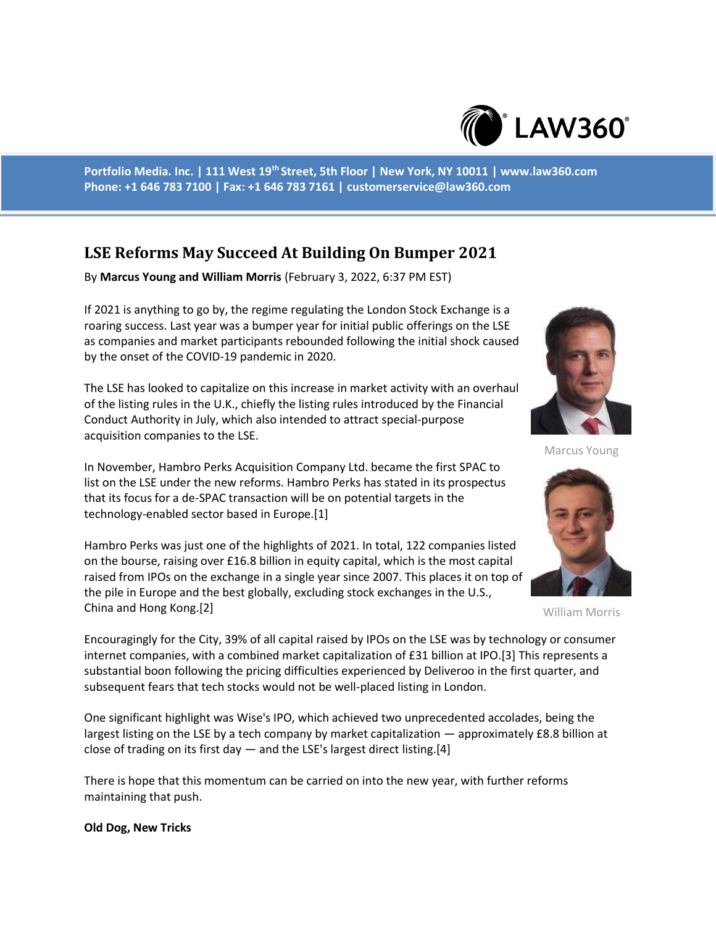

**Portfolio Media. Inc. | 111 West 19th Street, 5th Floor | New York, NY 10011 | www.law360.com Phone: +1 646 783 7100 | Fax: +1 646 783 7161 | customerservice@law360.com**

# **LSE Reforms May Succeed At Building On Bumper 2021**

By **Marcus Young and William Morris** (February 3, 2022, 6:37 PM EST)

If 2021 is anything to go by, the regime regulating the London Stock Exchange is a roaring success. Last year was a bumper year for initial public offerings on the LSE as companies and market participants rebounded following the initial shock caused by the onset of the COVID-19 pandemic in 2020.

The LSE has looked to capitalize on this increase in market activity with an overhaul of the listing rules in the U.K., chiefly the listing rules introduced by the Financial Conduct Authority in July, which also intended to attract special-purpose acquisition companies to the LSE.

In November, Hambro Perks Acquisition Company Ltd. became the first SPAC to list on the LSE under the new reforms. Hambro Perks has stated in its prospectus that its focus for a de-SPAC transaction will be on potential targets in the technology-enabled sector based in Europe.[1]

Hambro Perks was just one of the highlights of 2021. In total, 122 companies listed on the bourse, raising over £16.8 billion in equity capital, which is the most capital raised from IPOs on the exchange in a single year since 2007. This places it on top of the pile in Europe and the best globally, excluding stock exchanges in the U.S., China and Hong Kong.[2]



Marcus Young



William Morris

Encouragingly for the City, 39% of all capital raised by IPOs on the LSE was by technology or consumer internet companies, with a combined market capitalization of £31 billion at IPO.[3] This represents a substantial boon following the pricing difficulties experienced by Deliveroo in the first quarter, and subsequent fears that tech stocks would not be well-placed listing in London.

One significant highlight was Wise's IPO, which achieved two unprecedented accolades, being the largest listing on the LSE by a tech company by market capitalization — approximately £8.8 billion at close of trading on its first day  $-$  and the LSE's largest direct listing.[4]

There is hope that this momentum can be carried on into the new year, with further reforms maintaining that push.

#### **Old Dog, New Tricks**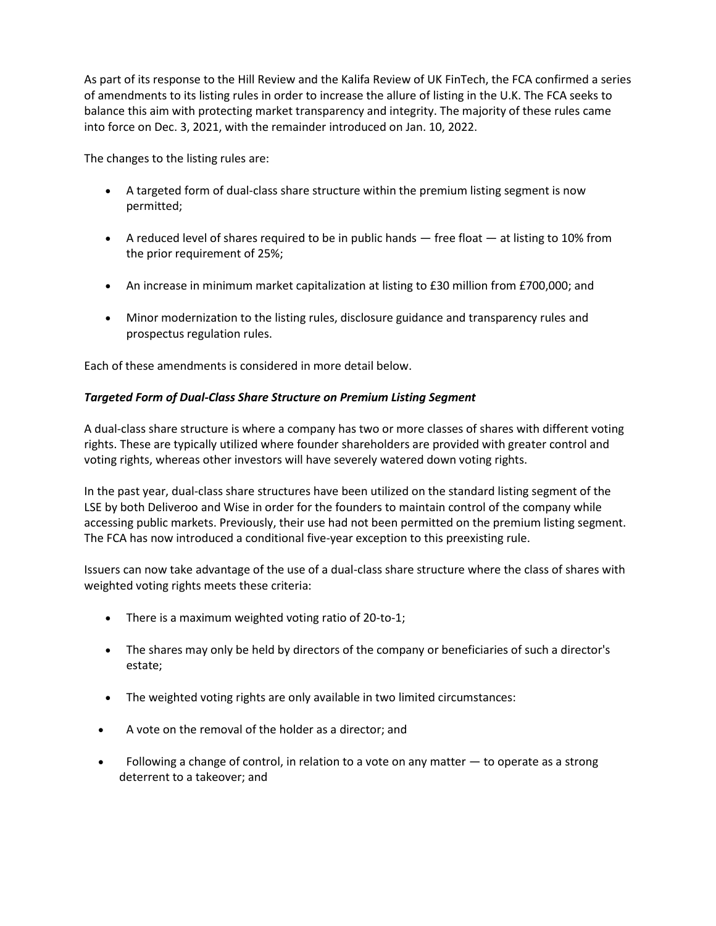As part of its response to the Hill Review and the Kalifa Review of UK FinTech, the FCA confirmed a series of amendments to its listing rules in order to increase the allure of listing in the U.K. The FCA seeks to balance this aim with protecting market transparency and integrity. The majority of these rules came into force on Dec. 3, 2021, with the remainder introduced on Jan. 10, 2022.

The changes to the listing rules are:

- A targeted form of dual-class share structure within the premium listing segment is now permitted;
- A reduced level of shares required to be in public hands  $-$  free float  $-$  at listing to 10% from the prior requirement of 25%;
- An increase in minimum market capitalization at listing to £30 million from £700,000; and
- Minor modernization to the listing rules, disclosure guidance and transparency rules and prospectus regulation rules.

Each of these amendments is considered in more detail below.

### *Targeted Form of Dual-Class Share Structure on Premium Listing Segment*

A dual-class share structure is where a company has two or more classes of shares with different voting rights. These are typically utilized where founder shareholders are provided with greater control and voting rights, whereas other investors will have severely watered down voting rights.

In the past year, dual-class share structures have been utilized on the standard listing segment of the LSE by both Deliveroo and Wise in order for the founders to maintain control of the company while accessing public markets. Previously, their use had not been permitted on the premium listing segment. The FCA has now introduced a conditional five-year exception to this preexisting rule.

Issuers can now take advantage of the use of a dual-class share structure where the class of shares with weighted voting rights meets these criteria:

- There is a maximum weighted voting ratio of 20-to-1;
- The shares may only be held by directors of the company or beneficiaries of such a director's estate;
- The weighted voting rights are only available in two limited circumstances:
- A vote on the removal of the holder as a director; and
- Following a change of control, in relation to a vote on any matter  $-$  to operate as a strong deterrent to a takeover; and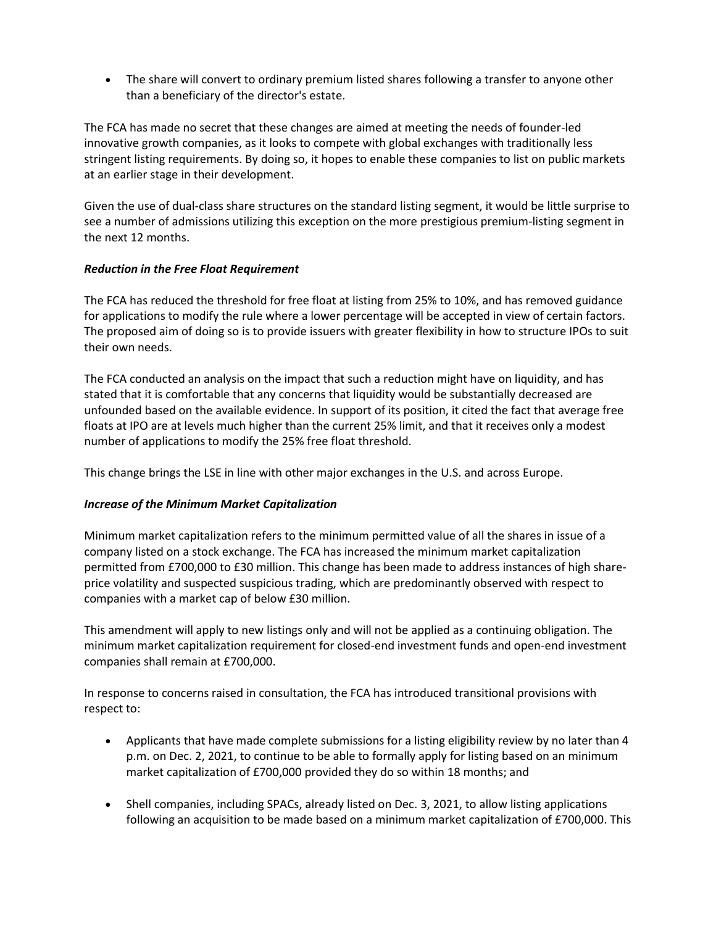The share will convert to ordinary premium listed shares following a transfer to anyone other than a beneficiary of the director's estate.

The FCA has made no secret that these changes are aimed at meeting the needs of founder-led innovative growth companies, as it looks to compete with global exchanges with traditionally less stringent listing requirements. By doing so, it hopes to enable these companies to list on public markets at an earlier stage in their development.

Given the use of dual-class share structures on the standard listing segment, it would be little surprise to see a number of admissions utilizing this exception on the more prestigious premium-listing segment in the next 12 months.

#### *Reduction in the Free Float Requirement*

The FCA has reduced the threshold for free float at listing from 25% to 10%, and has removed guidance for applications to modify the rule where a lower percentage will be accepted in view of certain factors. The proposed aim of doing so is to provide issuers with greater flexibility in how to structure IPOs to suit their own needs.

The FCA conducted an analysis on the impact that such a reduction might have on liquidity, and has stated that it is comfortable that any concerns that liquidity would be substantially decreased are unfounded based on the available evidence. In support of its position, it cited the fact that average free floats at IPO are at levels much higher than the current 25% limit, and that it receives only a modest number of applications to modify the 25% free float threshold.

This change brings the LSE in line with other major exchanges in the U.S. and across Europe.

## *Increase of the Minimum Market Capitalization*

Minimum market capitalization refers to the minimum permitted value of all the shares in issue of a company listed on a stock exchange. The FCA has increased the minimum market capitalization permitted from £700,000 to £30 million. This change has been made to address instances of high shareprice volatility and suspected suspicious trading, which are predominantly observed with respect to companies with a market cap of below £30 million.

This amendment will apply to new listings only and will not be applied as a continuing obligation. The minimum market capitalization requirement for closed-end investment funds and open-end investment companies shall remain at £700,000.

In response to concerns raised in consultation, the FCA has introduced transitional provisions with respect to:

- Applicants that have made complete submissions for a listing eligibility review by no later than 4 p.m. on Dec. 2, 2021, to continue to be able to formally apply for listing based on an minimum market capitalization of £700,000 provided they do so within 18 months; and
- Shell companies, including SPACs, already listed on Dec. 3, 2021, to allow listing applications following an acquisition to be made based on a minimum market capitalization of £700,000. This